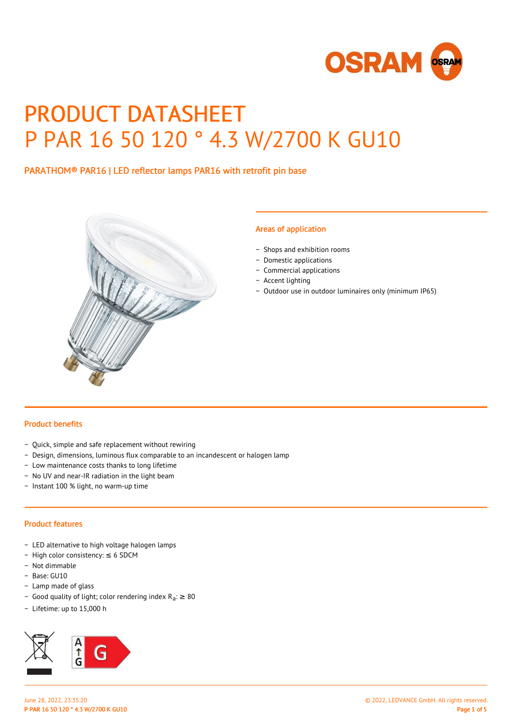

# PRODUCT DATASHEET P PAR 16 50 120 ° 4.3 W/2700 K GU10

## PARATHOM® PAR16 | LED reflector lamps PAR16 with retrofit pin base



#### Areas of application

- − Shops and exhibition rooms
- − Domestic applications
- − Commercial applications
- − Accent lighting
- − Outdoor use in outdoor luminaires only (minimum IP65)

#### Product benefits

- − Quick, simple and safe replacement without rewiring
- − Design, dimensions, luminous flux comparable to an incandescent or halogen lamp
- − Low maintenance costs thanks to long lifetime
- − No UV and near-IR radiation in the light beam
- − Instant 100 % light, no warm-up time

#### Product features

- − LED alternative to high voltage halogen lamps
- − High color consistency: ≤ 6 SDCM
- − Not dimmable
- − Base: GU10
- − Lamp made of glass
- Good quality of light; color rendering index R<sub>a</sub>: ≥ 80
- − Lifetime: up to 15,000 h

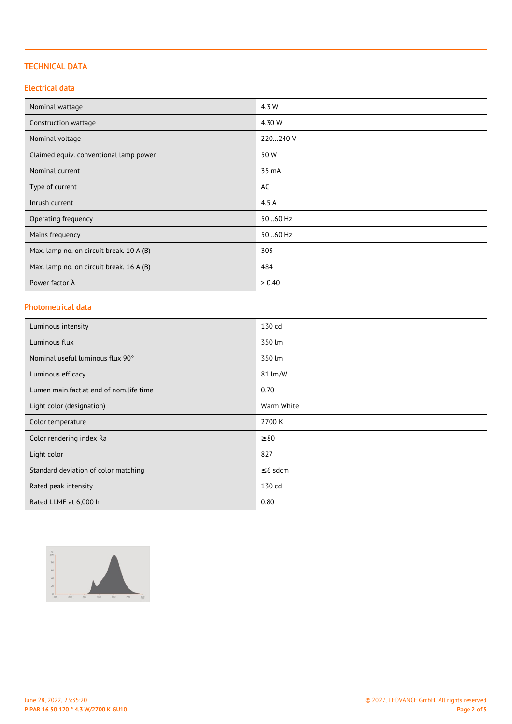## TECHNICAL DATA

## Electrical data

| Nominal wattage                          | 4.3 W    |
|------------------------------------------|----------|
| Construction wattage                     | 4.30 W   |
| Nominal voltage                          | 220240 V |
| Claimed equiv. conventional lamp power   | 50 W     |
| Nominal current                          | 35 mA    |
| Type of current                          | AC       |
| Inrush current                           | 4.5 A    |
| Operating frequency                      | 5060 Hz  |
| Mains frequency                          | 5060 Hz  |
| Max. lamp no. on circuit break. 10 A (B) | 303      |
| Max. lamp no. on circuit break. 16 A (B) | 484      |
| Power factor $\lambda$                   | > 0.40   |

# Photometrical data

| Luminous intensity                      | 130 cd        |
|-----------------------------------------|---------------|
| Luminous flux                           | 350 lm        |
| Nominal useful luminous flux 90°        | 350 lm        |
| Luminous efficacy                       | 81 lm/W       |
| Lumen main.fact.at end of nom.life time | 0.70          |
| Light color (designation)               | Warm White    |
| Color temperature                       | 2700 K        |
| Color rendering index Ra                | $\geq 80$     |
| Light color                             | 827           |
| Standard deviation of color matching    | $\leq$ 6 sdcm |
| Rated peak intensity                    | 130 cd        |
| Rated LLMF at 6,000 h                   | 0.80          |

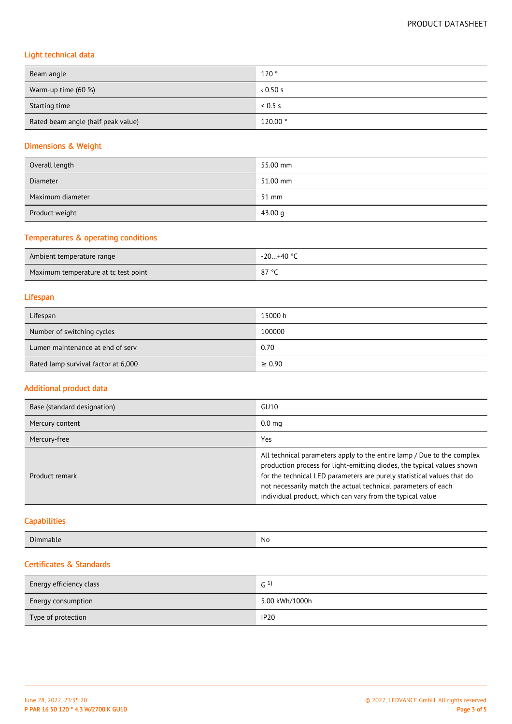# Light technical data

| Beam angle                         | 120°    |
|------------------------------------|---------|
| Warm-up time (60 %)                | 0.50 s  |
| Starting time                      | 0.5 s   |
| Rated beam angle (half peak value) | 120.00° |

# Dimensions & Weight

| Overall length   | 55.00 mm |
|------------------|----------|
| <b>Diameter</b>  | 51.00 mm |
| Maximum diameter | 51 mm    |
| Product weight   | 43.00 g  |

# Temperatures & operating conditions

| Ambient temperature range            | -20+40 ° <sup>∩</sup> |
|--------------------------------------|-----------------------|
| Maximum temperature at tc test point | 070c<br>ر ہ           |

### Lifespan

| Lifespan                            | 15000 h     |
|-------------------------------------|-------------|
| Number of switching cycles          | 100000      |
| Lumen maintenance at end of serv    | 0.70        |
| Rated lamp survival factor at 6,000 | $\geq 0.90$ |

### Additional product data

| Base (standard designation) | GU10                                                                                                                                                                                                                                                                                                                                                     |
|-----------------------------|----------------------------------------------------------------------------------------------------------------------------------------------------------------------------------------------------------------------------------------------------------------------------------------------------------------------------------------------------------|
| Mercury content             | 0.0 <sub>ma</sub>                                                                                                                                                                                                                                                                                                                                        |
| Mercury-free                | Yes                                                                                                                                                                                                                                                                                                                                                      |
| Product remark              | All technical parameters apply to the entire lamp / Due to the complex<br>production process for light-emitting diodes, the typical values shown<br>for the technical LED parameters are purely statistical values that do<br>not necessarily match the actual technical parameters of each<br>individual product, which can vary from the typical value |

# **Capabilities**

| $\sim$<br>No<br>Dım<br>imable<br>. <del>.</del> |
|-------------------------------------------------|
|-------------------------------------------------|

# Certificates & Standards

| Energy efficiency class   | $G^{(1)}$      |
|---------------------------|----------------|
| <b>Energy consumption</b> | 5.00 kWh/1000h |
| Type of protection        | <b>IP20</b>    |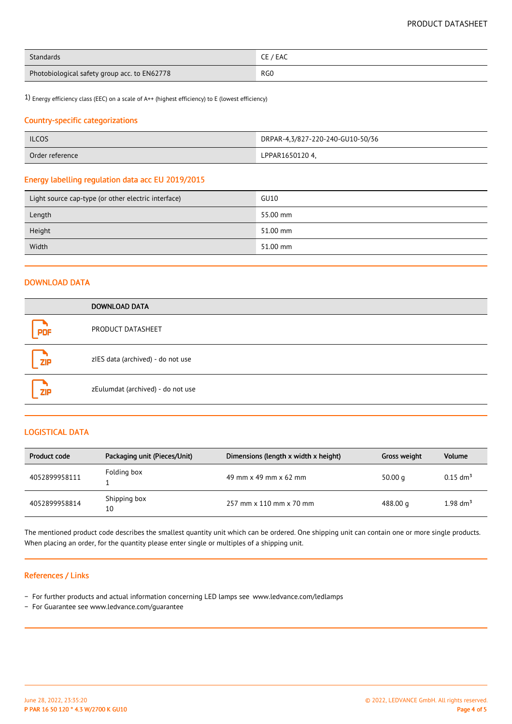| Standards                                    | CE / EAC        |
|----------------------------------------------|-----------------|
| Photobiological safety group acc. to EN62778 | RG <sub>0</sub> |

1) Energy efficiency class (EEC) on a scale of A++ (highest efficiency) to E (lowest efficiency)

#### Country-specific categorizations

| <b>ILCOS</b>    | DRPAR-4,3/827-220-240-GU10-50/36 |
|-----------------|----------------------------------|
| Order reference | LPPAR1650120 4.                  |

#### Energy labelling regulation data acc EU 2019/2015

| Light source cap-type (or other electric interface) | GU10     |
|-----------------------------------------------------|----------|
| Length                                              | 55.00 mm |
| Height                                              | 51.00 mm |
| Width                                               | 51.00 mm |

#### DOWNLOAD DATA

|            | <b>DOWNLOAD DATA</b>              |
|------------|-----------------------------------|
| PDF        | PRODUCT DATASHEET                 |
| <b>ZIP</b> | zIES data (archived) - do not use |
| <b>ZIP</b> | zEulumdat (archived) - do not use |

### LOGISTICAL DATA

| Product code  | Packaging unit (Pieces/Unit) | Dimensions (length x width x height) | Gross weight | Volume                 |
|---------------|------------------------------|--------------------------------------|--------------|------------------------|
| 4052899958111 | Folding box                  | 49 mm x 49 mm x 62 mm                | 50.00 $q$    | $0.15$ dm <sup>3</sup> |
| 4052899958814 | Shipping box<br>10           | 257 mm x 110 mm x 70 mm              | 488.00 g     | 1.98 $\rm{dm}^{3}$     |

The mentioned product code describes the smallest quantity unit which can be ordered. One shipping unit can contain one or more single products. When placing an order, for the quantity please enter single or multiples of a shipping unit.

#### References / Links

- − For further products and actual information concerning LED lamps see www.ledvance.com/ledlamps
- − For Guarantee see www.ledvance.com/guarantee